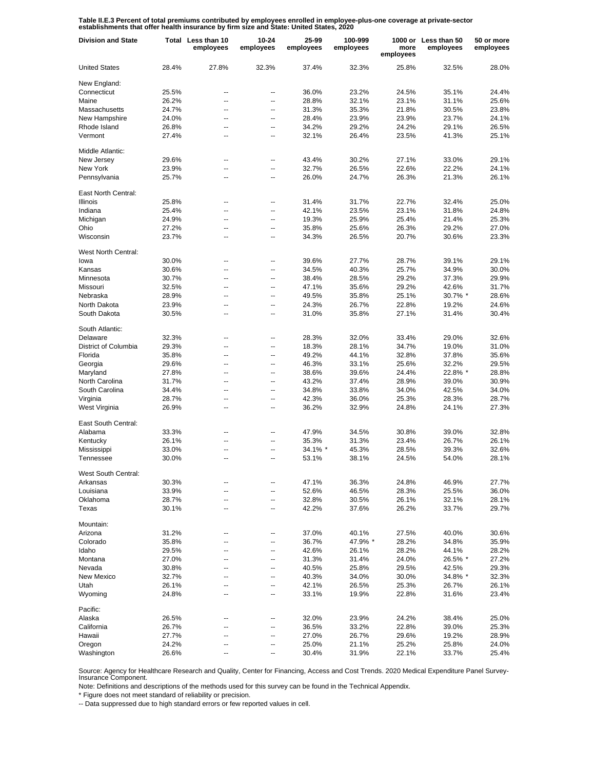**Table II.E.3 Percent of total premiums contributed by employees enrolled in employee-plus-one coverage at private-sector establishments that offer health insurance by firm size and State: United States, 2020**

| <b>Division and State</b>   |       | Total Less than 10<br>employees | $10 - 24$<br>employees | 25-99<br>employees | 100-999<br>employees | more<br>employees | 1000 or Less than 50<br>employees | 50 or more<br>employees |
|-----------------------------|-------|---------------------------------|------------------------|--------------------|----------------------|-------------------|-----------------------------------|-------------------------|
| <b>United States</b>        | 28.4% | 27.8%                           | 32.3%                  | 37.4%              | 32.3%                | 25.8%             | 32.5%                             | 28.0%                   |
| New England:                |       |                                 |                        |                    |                      |                   |                                   |                         |
| Connecticut                 | 25.5% | --                              | --                     | 36.0%              | 23.2%                | 24.5%             | 35.1%                             | 24.4%                   |
| Maine                       | 26.2% | ۵.                              | --                     | 28.8%              | 32.1%                | 23.1%             | 31.1%                             | 25.6%                   |
| Massachusetts               | 24.7% | --                              | --                     | 31.3%              | 35.3%                | 21.8%             | 30.5%                             | 23.8%                   |
| New Hampshire               | 24.0% | --                              | --                     | 28.4%              | 23.9%                | 23.9%             | 23.7%                             | 24.1%                   |
| Rhode Island                | 26.8% | --                              | --                     | 34.2%              | 29.2%                | 24.2%             | 29.1%                             | 26.5%                   |
| Vermont                     | 27.4% | --                              | --                     | 32.1%              | 26.4%                | 23.5%             | 41.3%                             | 25.1%                   |
| Middle Atlantic:            |       |                                 |                        |                    |                      |                   |                                   |                         |
| New Jersey                  | 29.6% | --                              | --                     | 43.4%              | 30.2%                | 27.1%             | 33.0%                             | 29.1%                   |
| New York                    | 23.9% | Ш.                              | ۰.                     | 32.7%              | 26.5%                | 22.6%             | 22.2%                             | 24.1%                   |
| Pennsylvania                | 25.7% | --                              | ۰.                     | 26.0%              | 24.7%                | 26.3%             | 21.3%                             | 26.1%                   |
| East North Central:         |       |                                 |                        |                    |                      |                   |                                   |                         |
| <b>Illinois</b>             | 25.8% | ۵.                              | ۰.                     | 31.4%              | 31.7%                | 22.7%             | 32.4%                             | 25.0%                   |
| Indiana                     | 25.4% | Ц.                              | ۰.                     | 42.1%              | 23.5%                | 23.1%             | 31.8%                             | 24.8%                   |
| Michigan                    | 24.9% | ۵.                              | ۰.                     | 19.3%              | 25.9%                | 25.4%             | 21.4%                             | 25.3%                   |
| Ohio                        | 27.2% | Ц.                              | ٠.                     | 35.8%              | 25.6%                | 26.3%             | 29.2%                             | 27.0%                   |
| Wisconsin                   | 23.7% | ۵.                              | ٠.                     | 34.3%              | 26.5%                | 20.7%             | 30.6%                             | 23.3%                   |
| West North Central:<br>lowa | 30.0% | --                              | --                     | 39.6%              | 27.7%                | 28.7%             | 39.1%                             | 29.1%                   |
| Kansas                      | 30.6% | ۵.                              | --                     | 34.5%              | 40.3%                | 25.7%             | 34.9%                             | 30.0%                   |
| Minnesota                   | 30.7% | ц,                              | --                     | 38.4%              | 28.5%                | 29.2%             | 37.3%                             | 29.9%                   |
| Missouri                    | 32.5% | --                              | --                     | 47.1%              | 35.6%                | 29.2%             | 42.6%                             | 31.7%                   |
|                             |       |                                 |                        |                    | 35.8%                | 25.1%             |                                   |                         |
| Nebraska                    | 28.9% | --                              | --                     | 49.5%              | 26.7%                |                   | 30.7% *                           | 28.6%                   |
| North Dakota                | 23.9% | --                              | --                     | 24.3%              |                      | 22.8%             | 19.2%                             | 24.6%                   |
| South Dakota                | 30.5% | --                              | --                     | 31.0%              | 35.8%                | 27.1%             | 31.4%                             | 30.4%                   |
| South Atlantic:             |       |                                 |                        |                    |                      |                   |                                   |                         |
| Delaware                    | 32.3% | --                              | --                     | 28.3%              | 32.0%                | 33.4%             | 29.0%                             | 32.6%                   |
| District of Columbia        | 29.3% | $\overline{a}$                  | -−                     | 18.3%              | 28.1%                | 34.7%             | 19.0%                             | 31.0%                   |
| Florida                     | 35.8% | --                              | ٠.                     | 49.2%              | 44.1%                | 32.8%             | 37.8%                             | 35.6%                   |
| Georgia                     | 29.6% | --                              | --                     | 46.3%              | 33.1%                | 25.6%             | 32.2%                             | 29.5%                   |
| Maryland                    | 27.8% | Ш.                              | ۰.                     | 38.6%              | 39.6%                | 24.4%             | 22.8% *                           | 28.8%                   |
| North Carolina              | 31.7% | $\overline{a}$                  | --                     | 43.2%              | 37.4%                | 28.9%             | 39.0%                             | 30.9%                   |
| South Carolina              | 34.4% | Ш.                              | ۰.                     | 34.8%              | 33.8%                | 34.0%             | 42.5%                             | 34.0%                   |
| Virginia                    | 28.7% | --                              | --                     | 42.3%              | 36.0%                | 25.3%             | 28.3%                             | 28.7%                   |
| West Virginia               | 26.9% | Ш.                              | ۰.                     | 36.2%              | 32.9%                | 24.8%             | 24.1%                             | 27.3%                   |
| East South Central:         |       |                                 |                        |                    |                      |                   |                                   |                         |
| Alabama                     | 33.3% | --                              | $\overline{a}$         | 47.9%              | 34.5%                | 30.8%             | 39.0%                             | 32.8%                   |
| Kentucky                    | 26.1% |                                 | ۰.                     | 35.3%              | 31.3%                | 23.4%             | 26.7%                             | 26.1%                   |
| Mississippi                 | 33.0% | ц,                              | ٠.                     | 34.1% *            | 45.3%                | 28.5%             | 39.3%                             | 32.6%                   |
| Tennessee                   | 30.0% | ۵.                              | ۰.                     | 53.1%              | 38.1%                | 24.5%             | 54.0%                             | 28.1%                   |
| West South Central:         |       |                                 |                        |                    |                      |                   |                                   |                         |
| Arkansas                    | 30.3% |                                 |                        | 47.1%              | 36.3%                | 24.8%             | 46.9%                             | 27.7%                   |
| Louisiana                   | 33.9% | ц,                              |                        | 52.6%              | 46.5%                | 28.3%             | 25.5%                             | 36.0%                   |
| Oklahoma                    | 28.7% | Ц.                              | --                     | 32.8%              | 30.5%                | 26.1%             | 32.1%                             | 28.1%                   |
| Texas                       | 30.1% | -−                              | --                     | 42.2%              | 37.6%                | 26.2%             | 33.7%                             | 29.7%                   |
| Mountain:                   |       |                                 |                        |                    |                      |                   |                                   |                         |
| Arizona                     | 31.2% | --                              | ⊷                      | 37.0%              | 40.1%                | 27.5%             | 40.0%                             | 30.6%                   |
| Colorado                    | 35.8% | --                              | --                     | 36.7%              | 47.9% *              | 28.2%             | 34.8%                             | 35.9%                   |
| Idaho                       | 29.5% | --                              | --                     | 42.6%              | 26.1%                | 28.2%             | 44.1%                             | 28.2%                   |
| Montana                     | 27.0% | Ш.                              | --                     | 31.3%              | 31.4%                | 24.0%             | 26.5% *                           | 27.2%                   |
| Nevada                      | 30.8% | --                              | --                     | 40.5%              | 25.8%                | 29.5%             | 42.5%                             | 29.3%                   |
| New Mexico                  | 32.7% | Ш.                              | --                     | 40.3%              | 34.0%                | 30.0%             | 34.8% *                           | 32.3%                   |
| Utah                        | 26.1% | --                              | --                     | 42.1%              | 26.5%                | 25.3%             | 26.7%                             | 26.1%                   |
| Wyoming                     | 24.8% | Ш.                              | −−                     | 33.1%              | 19.9%                | 22.8%             | 31.6%                             | 23.4%                   |
| Pacific:                    |       |                                 |                        |                    |                      |                   |                                   |                         |
| Alaska                      | 26.5% |                                 | --                     | 32.0%              | 23.9%                | 24.2%             | 38.4%                             | 25.0%                   |
| California                  | 26.7% |                                 | --                     | 36.5%              | 33.2%                | 22.8%             | 39.0%                             | 25.3%                   |
| Hawaii                      | 27.7% |                                 | --                     | 27.0%              | 26.7%                | 29.6%             | 19.2%                             | 28.9%                   |
| Oregon                      | 24.2% |                                 | --                     | 25.0%              | 21.1%                | 25.2%             | 25.8%                             | 24.0%                   |
| Washington                  | 26.6% |                                 |                        | 30.4%              | 31.9%                | 22.1%             | 33.7%                             | 25.4%                   |

Source: Agency for Healthcare Research and Quality, Center for Financing, Access and Cost Trends. 2020 Medical Expenditure Panel Survey-Insurance Component.

Note: Definitions and descriptions of the methods used for this survey can be found in the Technical Appendix.

\* Figure does not meet standard of reliability or precision.

-- Data suppressed due to high standard errors or few reported values in cell.